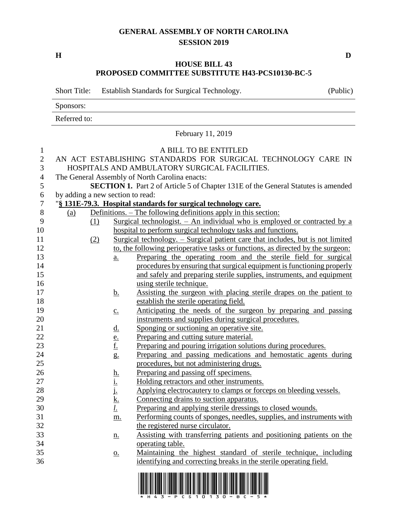## **GENERAL ASSEMBLY OF NORTH CAROLINA SESSION 2019**

**H D**

## **HOUSE BILL 43 PROPOSED COMMITTEE SUBSTITUTE H43-PCS10130-BC-5**

Short Title: Establish Standards for Surgical Technology. (Public) Sponsors: Referred to: February 11, 2019 A BILL TO BE ENTITLED AN ACT ESTABLISHING STANDARDS FOR SURGICAL TECHNOLOGY CARE IN HOSPITALS AND AMBULATORY SURGICAL FACILITIES. The General Assembly of North Carolina enacts: **SECTION 1.** Part 2 of Article 5 of Chapter 131E of the General Statutes is amended by adding a new section to read: "**§ 131E-79.3. Hospital standards for surgical technology care.** 8 (a) Definitions. – The following definitions apply in this section: (1) Surgical technologist. – An individual who is employed or contracted by a hospital to perform surgical technology tasks and functions. (2) Surgical technology. – Surgical patient care that includes, but is not limited to, the following perioperative tasks or functions, as directed by the surgeon: a. Preparing the operating room and the sterile field for surgical procedures by ensuring that surgical equipment is functioning properly and safely and preparing sterile supplies, instruments, and equipment 16 using sterile technique. 17 b. Assisting the surgeon with placing sterile drapes on the patient to establish the sterile operating field. c. Anticipating the needs of the surgeon by preparing and passing instruments and supplies during surgical procedures. 21 d. Sponging or suctioning an operative site. 22 e. Preparing and cutting suture material. f. Preparing and pouring irrigation solutions during procedures. g. Preparing and passing medications and hemostatic agents during procedures, but not administering drugs. h. Preparing and passing off specimens. i. Holding retractors and other instruments. 28 i. Applying electrocautery to clamps or forceps on bleeding vessels. 29 k. Connecting drains to suction apparatus. *l*. Preparing and applying sterile dressings to closed wounds. m. Performing counts of sponges, needles, supplies, and instruments with the registered nurse circulator. n. Assisting with transferring patients and positioning patients on the operating table. o. Maintaining the highest standard of sterile technique, including identifying and correcting breaks in the sterile operating field.

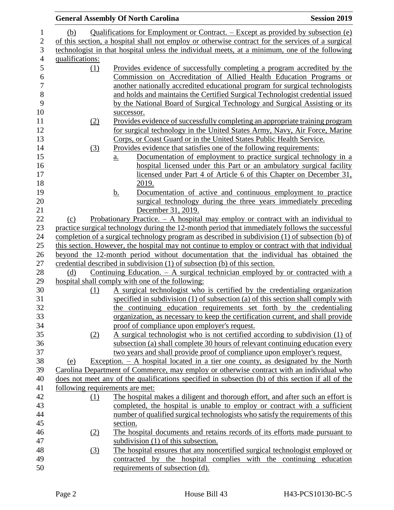|                  | <b>General Assembly Of North Carolina</b>                                                                                                                                                     | <b>Session 2019</b> |
|------------------|-----------------------------------------------------------------------------------------------------------------------------------------------------------------------------------------------|---------------------|
| (b)              | Qualifications for Employment or Contract. – Except as provided by subsection (e)                                                                                                             |                     |
|                  | of this section, a hospital shall not employ or otherwise contract for the services of a surgical                                                                                             |                     |
|                  | technologist in that hospital unless the individual meets, at a minimum, one of the following                                                                                                 |                     |
| qualifications:  |                                                                                                                                                                                               |                     |
| (1)              | Provides evidence of successfully completing a program accredited by the                                                                                                                      |                     |
|                  | Commission on Accreditation of Allied Health Education Programs or                                                                                                                            |                     |
|                  | another nationally accredited educational program for surgical technologists                                                                                                                  |                     |
|                  | and holds and maintains the Certified Surgical Technologist credential issued                                                                                                                 |                     |
|                  | by the National Board of Surgical Technology and Surgical Assisting or its                                                                                                                    |                     |
|                  | successor.                                                                                                                                                                                    |                     |
| (2)              | Provides evidence of successfully completing an appropriate training program                                                                                                                  |                     |
|                  | for surgical technology in the United States Army, Navy, Air Force, Marine                                                                                                                    |                     |
|                  | Corps, or Coast Guard or in the United States Public Health Service.                                                                                                                          |                     |
| (3)              | Provides evidence that satisfies one of the following requirements:                                                                                                                           |                     |
|                  | Documentation of employment to practice surgical technology in a<br>a.                                                                                                                        |                     |
|                  | hospital licensed under this Part or an ambulatory surgical facility                                                                                                                          |                     |
|                  | licensed under Part 4 of Article 6 of this Chapter on December 31,                                                                                                                            |                     |
|                  | 2019.                                                                                                                                                                                         |                     |
|                  | Documentation of active and continuous employment to practice<br><u>b.</u>                                                                                                                    |                     |
|                  | surgical technology during the three years immediately preceding                                                                                                                              |                     |
|                  | December 31, 2019.                                                                                                                                                                            |                     |
| (c)              | Probationary Practice. $-$ A hospital may employ or contract with an individual to                                                                                                            |                     |
|                  | practice surgical technology during the 12-month period that immediately follows the successful                                                                                               |                     |
|                  | completion of a surgical technology program as described in subdivision (1) of subsection (b) of                                                                                              |                     |
|                  | this section. However, the hospital may not continue to employ or contract with that individual                                                                                               |                     |
|                  | beyond the 12-month period without documentation that the individual has obtained the                                                                                                         |                     |
|                  | credential described in subdivision (1) of subsection (b) of this section.                                                                                                                    |                     |
| (d)              | <u>Continuing Education. <math>-</math> A surgical technician employed by or contracted with a</u>                                                                                            |                     |
|                  | hospital shall comply with one of the following:                                                                                                                                              |                     |
| (1)              | A surgical technologist who is certified by the credentialing organization                                                                                                                    |                     |
|                  | specified in subdivision (1) of subsection (a) of this section shall comply with                                                                                                              |                     |
|                  | the continuing education requirements set forth by the credentialing                                                                                                                          |                     |
|                  | organization, as necessary to keep the certification current, and shall provide                                                                                                               |                     |
|                  | proof of compliance upon employer's request.                                                                                                                                                  |                     |
| (2)              | A surgical technologist who is not certified according to subdivision (1) of                                                                                                                  |                     |
|                  | subsection (a) shall complete 30 hours of relevant continuing education every                                                                                                                 |                     |
|                  | two years and shall provide proof of compliance upon employer's request.                                                                                                                      |                     |
| (e)              | Exception. $- A$ hospital located in a tier one county, as designated by the North                                                                                                            |                     |
|                  | Carolina Department of Commerce, may employ or otherwise contract with an individual who<br>does not meet any of the qualifications specified in subsection (b) of this section if all of the |                     |
|                  | following requirements are met:                                                                                                                                                               |                     |
|                  | The hospital makes a diligent and thorough effort, and after such an effort is                                                                                                                |                     |
| (1)              | completed, the hospital is unable to employ or contract with a sufficient                                                                                                                     |                     |
|                  | number of qualified surgical technologists who satisfy the requirements of this                                                                                                               |                     |
|                  | section.                                                                                                                                                                                      |                     |
| (2)              | The hospital documents and retains records of its efforts made pursuant to                                                                                                                    |                     |
|                  | subdivision $(1)$ of this subsection.                                                                                                                                                         |                     |
| $\left(3\right)$ | The hospital ensures that any noncertified surgical technologist employed or                                                                                                                  |                     |
|                  | contracted by the hospital complies with the continuing education                                                                                                                             |                     |
|                  | requirements of subsection (d).                                                                                                                                                               |                     |
|                  |                                                                                                                                                                                               |                     |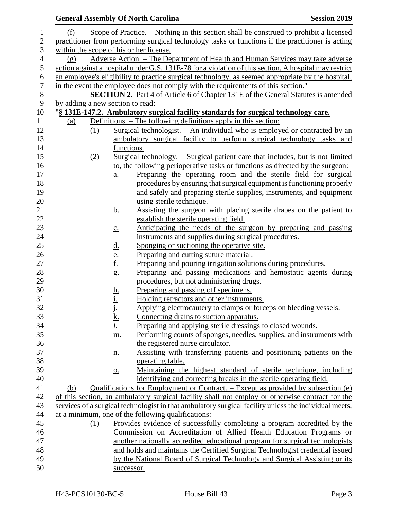|                                  |     |                                | <b>General Assembly Of North Carolina</b>                                                                                                          | <b>Session 2019</b> |
|----------------------------------|-----|--------------------------------|----------------------------------------------------------------------------------------------------------------------------------------------------|---------------------|
| (f)                              |     |                                | Scope of Practice. – Nothing in this section shall be construed to prohibit a licensed                                                             |                     |
|                                  |     |                                | practitioner from performing surgical technology tasks or functions if the practitioner is acting                                                  |                     |
|                                  |     |                                | within the scope of his or her license.                                                                                                            |                     |
| (g)                              |     |                                | Adverse Action. – The Department of Health and Human Services may take adverse                                                                     |                     |
|                                  |     |                                | action against a hospital under G.S. 131E-78 for a violation of this section. A hospital may restrict                                              |                     |
|                                  |     |                                | an employee's eligibility to practice surgical technology, as seemed appropriate by the hospital,                                                  |                     |
|                                  |     |                                | in the event the employee does not comply with the requirements of this section."                                                                  |                     |
|                                  |     |                                | <b>SECTION 2.</b> Part 4 of Article 6 of Chapter 131E of the General Statutes is amended                                                           |                     |
| by adding a new section to read: |     |                                |                                                                                                                                                    |                     |
|                                  |     |                                | "§ 131E-147.2. Ambulatory surgical facility standards for surgical technology care.                                                                |                     |
| (a)                              |     |                                | Definitions. – The following definitions apply in this section:                                                                                    |                     |
|                                  | (1) |                                | <u>Surgical technologist. – An individual who is employed or contracted by an</u>                                                                  |                     |
|                                  |     |                                | ambulatory surgical facility to perform surgical technology tasks and                                                                              |                     |
|                                  |     | functions.                     |                                                                                                                                                    |                     |
|                                  | (2) |                                | Surgical technology. – Surgical patient care that includes, but is not limited                                                                     |                     |
|                                  |     |                                | to, the following perioperative tasks or functions as directed by the surgeon:                                                                     |                     |
|                                  |     | $\underline{a}$ .              | Preparing the operating room and the sterile field for surgical                                                                                    |                     |
|                                  |     |                                | procedures by ensuring that surgical equipment is functioning properly                                                                             |                     |
|                                  |     |                                | and safely and preparing sterile supplies, instruments, and equipment                                                                              |                     |
|                                  |     |                                | using sterile technique.                                                                                                                           |                     |
|                                  |     | <u>b.</u>                      | Assisting the surgeon with placing sterile drapes on the patient to                                                                                |                     |
|                                  |     |                                | establish the sterile operating field.                                                                                                             |                     |
|                                  |     | $\underline{c}$ .              | Anticipating the needs of the surgeon by preparing and passing                                                                                     |                     |
|                                  |     |                                | instruments and supplies during surgical procedures.                                                                                               |                     |
|                                  |     | <u>d.</u>                      | Sponging or suctioning the operative site.                                                                                                         |                     |
|                                  |     | $\frac{e}{f}$<br>$\frac{f}{g}$ | Preparing and cutting suture material.                                                                                                             |                     |
|                                  |     |                                | Preparing and pouring irrigation solutions during procedures.                                                                                      |                     |
|                                  |     |                                | Preparing and passing medications and hemostatic agents during                                                                                     |                     |
|                                  |     |                                | procedures, but not administering drugs.                                                                                                           |                     |
|                                  |     | <u>h.</u><br><u>i.</u>         | Preparing and passing off specimens.                                                                                                               |                     |
|                                  |     |                                | Holding retractors and other instruments.                                                                                                          |                     |
|                                  |     | i,                             | Applying electrocautery to clamps or forceps on bleeding vessels.                                                                                  |                     |
|                                  |     | <u>k.</u>                      | Connecting drains to suction apparatus.                                                                                                            |                     |
|                                  |     | <u>l.</u>                      | Preparing and applying sterile dressings to closed wounds.                                                                                         |                     |
|                                  |     | m.                             | Performing counts of sponges, needles, supplies, and instruments with                                                                              |                     |
|                                  |     |                                | the registered nurse circulator.                                                                                                                   |                     |
|                                  |     | <u>n.</u>                      | Assisting with transferring patients and positioning patients on the                                                                               |                     |
|                                  |     |                                | operating table.                                                                                                                                   |                     |
|                                  |     | $\underline{0}$ .              | Maintaining the highest standard of sterile technique, including                                                                                   |                     |
|                                  |     |                                | identifying and correcting breaks in the sterile operating field.                                                                                  |                     |
| (b)                              |     |                                | Qualifications for Employment or Contract. – Except as provided by subsection (e)                                                                  |                     |
|                                  |     |                                | of this section, an ambulatory surgical facility shall not employ or otherwise contract for the                                                    |                     |
|                                  |     |                                | services of a surgical technologist in that ambulatory surgical facility unless the individual meets,                                              |                     |
|                                  |     |                                | at a minimum, one of the following qualifications:                                                                                                 |                     |
|                                  | (1) |                                | Provides evidence of successfully completing a program accredited by the                                                                           |                     |
|                                  |     |                                | Commission on Accreditation of Allied Health Education Programs or<br>another nationally accredited educational program for surgical technologists |                     |
|                                  |     |                                | and holds and maintains the Certified Surgical Technologist credential issued                                                                      |                     |
|                                  |     |                                | by the National Board of Surgical Technology and Surgical Assisting or its                                                                         |                     |
|                                  |     | successor.                     |                                                                                                                                                    |                     |
|                                  |     |                                |                                                                                                                                                    |                     |